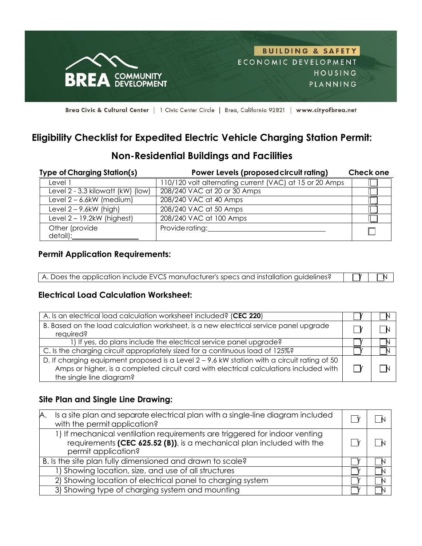

Brea Civic & Cultural Center | 1 Civic Center Circle | Brea, California 92821 | www.cityofbrea.net

# **Eligibility Checklist for Expedited Electric Vehicle Charging Station Permit:**

### **Non-Residential Buildings and Facilities**

| <b>Type of Charging Station(s)</b> | Power Levels (proposed circuit rating)                  | <b>Check one</b> |
|------------------------------------|---------------------------------------------------------|------------------|
| Level 1                            | 110/120 volt alternating current (VAC) at 15 or 20 Amps |                  |
| Level 2 - 3.3 kilowatt (kW) (low)  | 208/240 VAC at 20 or 30 Amps                            |                  |
| Level $2 - 6.6$ kW (medium)        | 208/240 VAC at 40 Amps                                  |                  |
| Level $2 - 9.6$ kW (high)          | 208/240 VAC at 50 Amps                                  |                  |
| Level $2 - 19.2$ kW (highest)      | 208/240 VAC at 100 Amps                                 |                  |
| Other (provide<br>detail):         | Provide rating:                                         |                  |

## **Permit Application Requirements:**

| A. Does the application include EVCS manufacturer's specs and installation guidelines? | $\begin{array}{c c c c c} \hline \quad & \quad \text{if} & \quad \text{if} & \quad \text{if} & \quad \text{if} & \quad \text{if} & \quad \text{if} & \quad \text{if} & \quad \text{if} & \quad \text{if} & \quad \text{if} & \quad \text{if} & \quad \text{if} & \quad \text{if} & \quad \text{if} & \quad \text{if} & \quad \text{if} & \quad \text{if} & \quad \text{if} & \quad \text{if} & \quad \text{if} & \quad \text{if} & \quad \text{if} & \quad \text{if} & \quad \text{if} & \quad \text{if}$ |
|----------------------------------------------------------------------------------------|-----------------------------------------------------------------------------------------------------------------------------------------------------------------------------------------------------------------------------------------------------------------------------------------------------------------------------------------------------------------------------------------------------------------------------------------------------------------------------------------------------------|

#### **Electrical Load Calculation Worksheet:**

| A. Is an electrical load calculation worksheet included? (CEC 220)                                                                                                                                                |  |
|-------------------------------------------------------------------------------------------------------------------------------------------------------------------------------------------------------------------|--|
| B. Based on the load calculation worksheet, is a new electrical service panel upgrade<br>required?                                                                                                                |  |
| 1) If yes, do plans include the electrical service panel upgrade?                                                                                                                                                 |  |
| C. Is the charging circuit appropriately sized for a continuous load of 125%?                                                                                                                                     |  |
| D. If charging equipment proposed is a Level 2 - 9.6 kW station with a circuit rating of 50<br>Amps or higher, is a completed circuit card with electrical calculations included with<br>the single line diagram? |  |

#### **Site Plan and Single Line Drawing:**

| Is a site plan and separate electrical plan with a single-line diagram included<br>A.<br>with the permit application?                                                      |  |
|----------------------------------------------------------------------------------------------------------------------------------------------------------------------------|--|
| 1) If mechanical ventilation requirements are triggered for indoor venting<br>requirements (CEC 625.52 (B)), is a mechanical plan included with the<br>permit application? |  |
| B. Is the site plan fully dimensioned and drawn to scale?                                                                                                                  |  |
| 1) Showing location, size, and use of all structures                                                                                                                       |  |
| 2) Showing location of electrical panel to charging system                                                                                                                 |  |
| 3) Showing type of charging system and mounting                                                                                                                            |  |